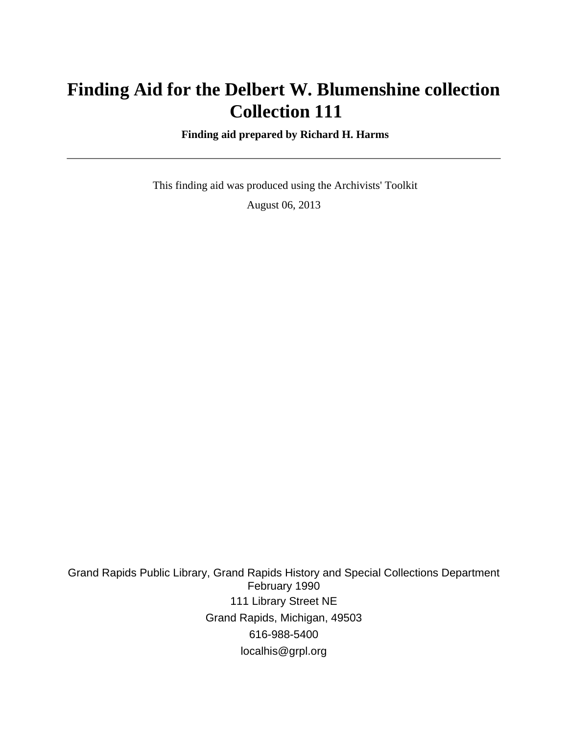# **Finding Aid for the Delbert W. Blumenshine collection Collection 111**

 **Finding aid prepared by Richard H. Harms**

 This finding aid was produced using the Archivists' Toolkit August 06, 2013

Grand Rapids Public Library, Grand Rapids History and Special Collections Department February 1990 111 Library Street NE Grand Rapids, Michigan, 49503 616-988-5400 localhis@grpl.org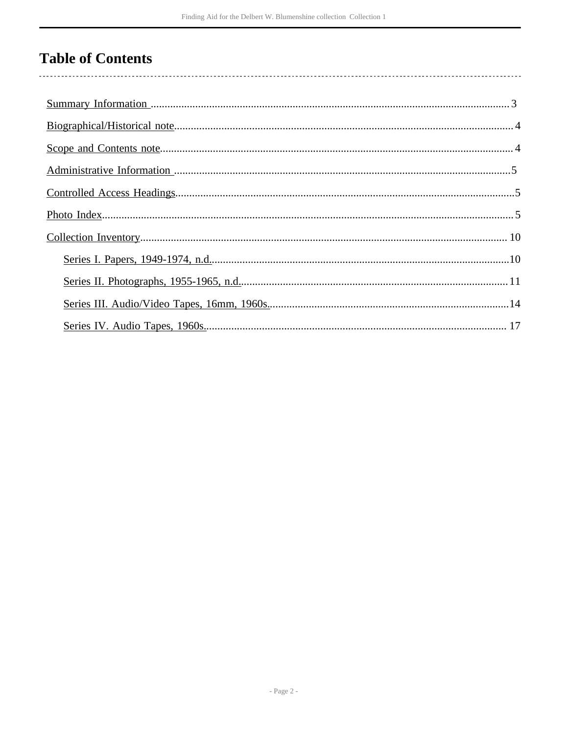# **Table of Contents**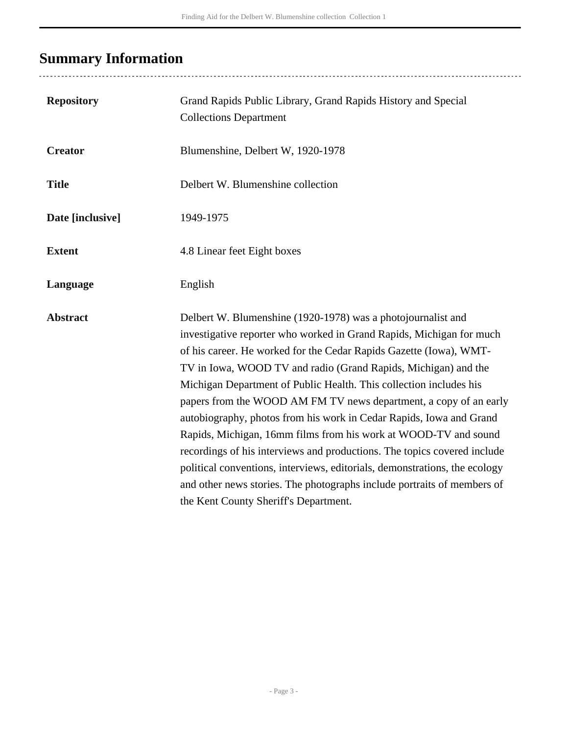# <span id="page-2-0"></span>**Summary Information**

| <b>Repository</b> | Grand Rapids Public Library, Grand Rapids History and Special<br><b>Collections Department</b>                                                                                                                                                                                                                                                                                                                                                                                                                                                                                                                                                                                                                                                                                                                                                  |
|-------------------|-------------------------------------------------------------------------------------------------------------------------------------------------------------------------------------------------------------------------------------------------------------------------------------------------------------------------------------------------------------------------------------------------------------------------------------------------------------------------------------------------------------------------------------------------------------------------------------------------------------------------------------------------------------------------------------------------------------------------------------------------------------------------------------------------------------------------------------------------|
| <b>Creator</b>    | Blumenshine, Delbert W, 1920-1978                                                                                                                                                                                                                                                                                                                                                                                                                                                                                                                                                                                                                                                                                                                                                                                                               |
| <b>Title</b>      | Delbert W. Blumenshine collection                                                                                                                                                                                                                                                                                                                                                                                                                                                                                                                                                                                                                                                                                                                                                                                                               |
| Date [inclusive]  | 1949-1975                                                                                                                                                                                                                                                                                                                                                                                                                                                                                                                                                                                                                                                                                                                                                                                                                                       |
| <b>Extent</b>     | 4.8 Linear feet Eight boxes                                                                                                                                                                                                                                                                                                                                                                                                                                                                                                                                                                                                                                                                                                                                                                                                                     |
| Language          | English                                                                                                                                                                                                                                                                                                                                                                                                                                                                                                                                                                                                                                                                                                                                                                                                                                         |
| <b>Abstract</b>   | Delbert W. Blumenshine (1920-1978) was a photojournalist and<br>investigative reporter who worked in Grand Rapids, Michigan for much<br>of his career. He worked for the Cedar Rapids Gazette (Iowa), WMT-<br>TV in Iowa, WOOD TV and radio (Grand Rapids, Michigan) and the<br>Michigan Department of Public Health. This collection includes his<br>papers from the WOOD AM FM TV news department, a copy of an early<br>autobiography, photos from his work in Cedar Rapids, Iowa and Grand<br>Rapids, Michigan, 16mm films from his work at WOOD-TV and sound<br>recordings of his interviews and productions. The topics covered include<br>political conventions, interviews, editorials, demonstrations, the ecology<br>and other news stories. The photographs include portraits of members of<br>the Kent County Sheriff's Department. |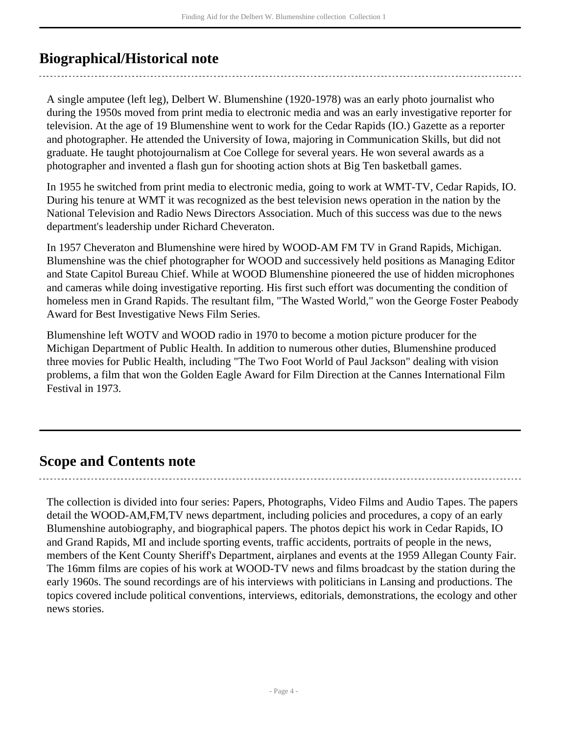## <span id="page-3-0"></span>**Biographical/Historical note**

A single amputee (left leg), Delbert W. Blumenshine (1920-1978) was an early photo journalist who during the 1950s moved from print media to electronic media and was an early investigative reporter for television. At the age of 19 Blumenshine went to work for the Cedar Rapids (IO.) Gazette as a reporter and photographer. He attended the University of Iowa, majoring in Communication Skills, but did not graduate. He taught photojournalism at Coe College for several years. He won several awards as a photographer and invented a flash gun for shooting action shots at Big Ten basketball games.

In 1955 he switched from print media to electronic media, going to work at WMT-TV, Cedar Rapids, IO. During his tenure at WMT it was recognized as the best television news operation in the nation by the National Television and Radio News Directors Association. Much of this success was due to the news department's leadership under Richard Cheveraton.

In 1957 Cheveraton and Blumenshine were hired by WOOD-AM FM TV in Grand Rapids, Michigan. Blumenshine was the chief photographer for WOOD and successively held positions as Managing Editor and State Capitol Bureau Chief. While at WOOD Blumenshine pioneered the use of hidden microphones and cameras while doing investigative reporting. His first such effort was documenting the condition of homeless men in Grand Rapids. The resultant film, "The Wasted World," won the George Foster Peabody Award for Best Investigative News Film Series.

Blumenshine left WOTV and WOOD radio in 1970 to become a motion picture producer for the Michigan Department of Public Health. In addition to numerous other duties, Blumenshine produced three movies for Public Health, including "The Two Foot World of Paul Jackson" dealing with vision problems, a film that won the Golden Eagle Award for Film Direction at the Cannes International Film Festival in 1973.

### <span id="page-3-1"></span>**Scope and Contents note**

The collection is divided into four series: Papers, Photographs, Video Films and Audio Tapes. The papers detail the WOOD-AM,FM,TV news department, including policies and procedures, a copy of an early Blumenshine autobiography, and biographical papers. The photos depict his work in Cedar Rapids, IO and Grand Rapids, MI and include sporting events, traffic accidents, portraits of people in the news, members of the Kent County Sheriff's Department, airplanes and events at the 1959 Allegan County Fair. The 16mm films are copies of his work at WOOD-TV news and films broadcast by the station during the early 1960s. The sound recordings are of his interviews with politicians in Lansing and productions. The topics covered include political conventions, interviews, editorials, demonstrations, the ecology and other news stories.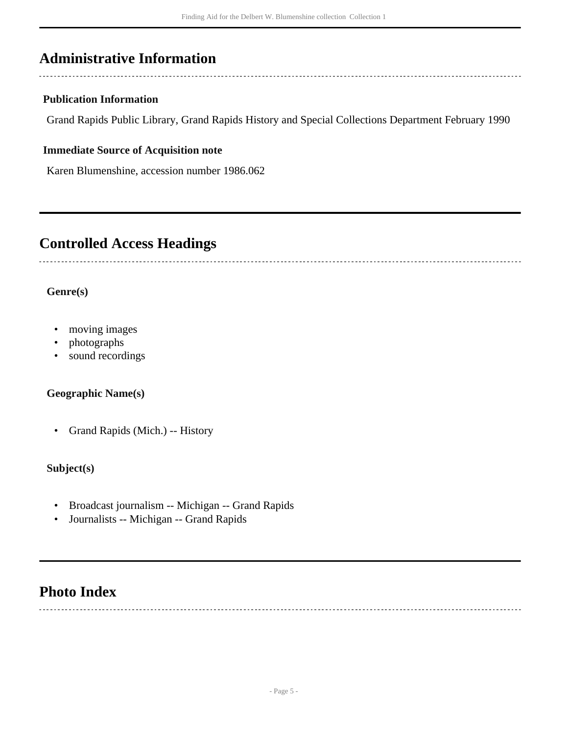## <span id="page-4-0"></span>**Administrative Information**

#### **Publication Information**

Grand Rapids Public Library, Grand Rapids History and Special Collections Department February 1990

#### **Immediate Source of Acquisition note**

Karen Blumenshine, accession number 1986.062

### <span id="page-4-1"></span>**Controlled Access Headings**

#### **Genre(s)**

- moving images
- photographs
- sound recordings

#### **Geographic Name(s)**

• Grand Rapids (Mich.) -- History

#### **Subject(s)**

- Broadcast journalism -- Michigan -- Grand Rapids
- Journalists -- Michigan -- Grand Rapids

### <span id="page-4-2"></span>**Photo Index**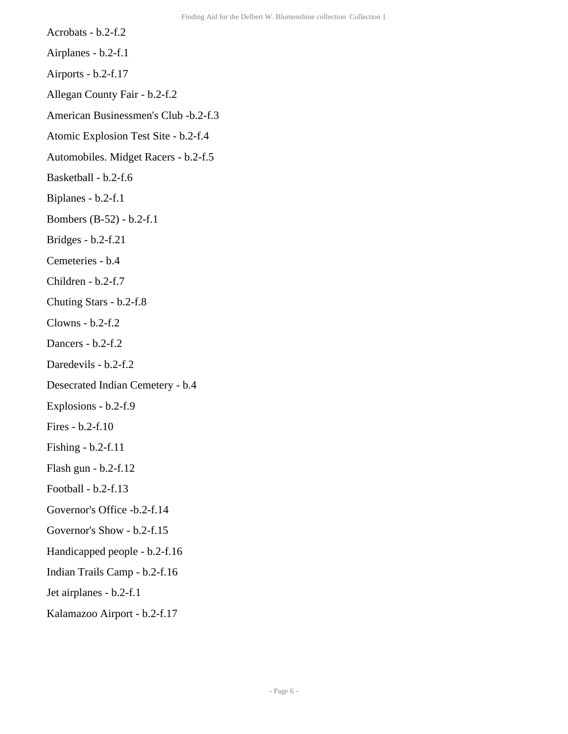- Acrobats b.2-f.2
- Airplanes b.2-f.1
- Airports b.2-f.17
- Allegan County Fair b.2-f.2
- American Businessmen's Club -b.2-f.3
- Atomic Explosion Test Site b.2-f.4
- Automobiles. Midget Racers b.2-f.5
- Basketball b.2-f.6
- Biplanes b.2-f.1
- Bombers (B-52) b.2-f.1
- Bridges b.2-f.21
- Cemeteries b.4
- Children b.2-f.7
- Chuting Stars b.2-f.8
- Clowns b.2-f.2
- Dancers b.2-f.2
- Daredevils b.2-f.2
- Desecrated Indian Cemetery b.4
- Explosions b.2-f.9
- Fires b.2-f.10
- Fishing b.2-f.11
- Flash gun b.2-f.12
- Football b.2-f.13
- Governor's Office -b.2-f.14
- Governor's Show b.2-f.15
- Handicapped people b.2-f.16
- Indian Trails Camp b.2-f.16
- Jet airplanes b.2-f.1
- Kalamazoo Airport b.2-f.17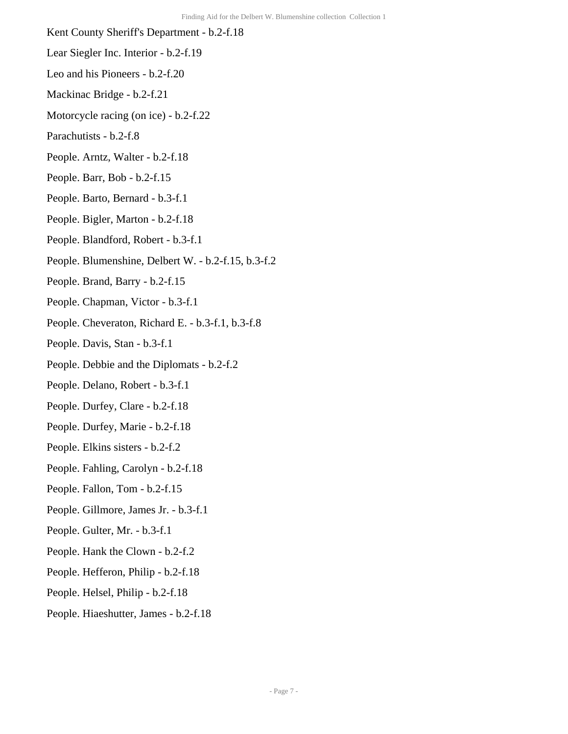- Kent County Sheriff's Department b.2-f.18
- Lear Siegler Inc. Interior b.2-f.19
- Leo and his Pioneers b.2-f.20
- Mackinac Bridge b.2-f.21
- Motorcycle racing (on ice) b.2-f.22
- Parachutists b.2-f.8
- People. Arntz, Walter b.2-f.18
- People. Barr, Bob b.2-f.15
- People. Barto, Bernard b.3-f.1
- People. Bigler, Marton b.2-f.18
- People. Blandford, Robert b.3-f.1
- People. Blumenshine, Delbert W. b.2-f.15, b.3-f.2
- People. Brand, Barry b.2-f.15
- People. Chapman, Victor b.3-f.1
- People. Cheveraton, Richard E. b.3-f.1, b.3-f.8
- People. Davis, Stan b.3-f.1
- People. Debbie and the Diplomats b.2-f.2
- People. Delano, Robert b.3-f.1
- People. Durfey, Clare b.2-f.18
- People. Durfey, Marie b.2-f.18
- People. Elkins sisters b.2-f.2
- People. Fahling, Carolyn b.2-f.18
- People. Fallon, Tom b.2-f.15
- People. Gillmore, James Jr. b.3-f.1
- People. Gulter, Mr. b.3-f.1
- People. Hank the Clown b.2-f.2
- People. Hefferon, Philip b.2-f.18
- People. Helsel, Philip b.2-f.18
- People. Hiaeshutter, James b.2-f.18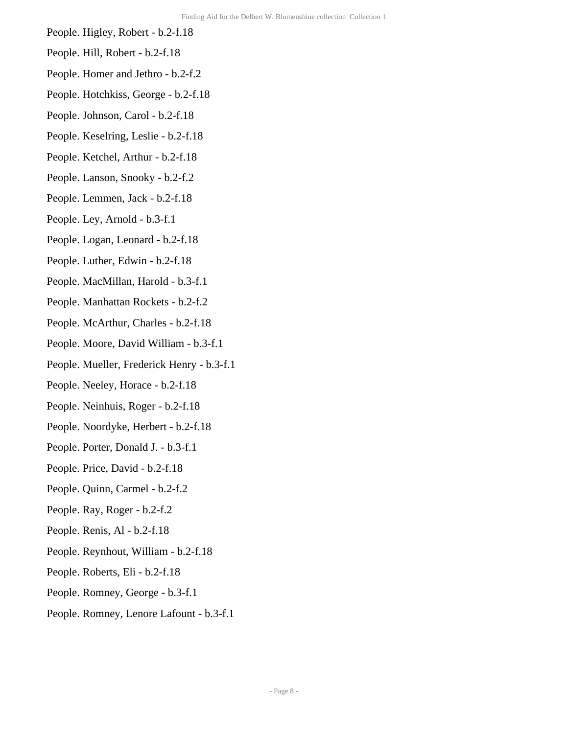- People. Higley, Robert b.2-f.18
- People. Hill, Robert b.2-f.18
- People. Homer and Jethro b.2-f.2
- People. Hotchkiss, George b.2-f.18
- People. Johnson, Carol b.2-f.18
- People. Keselring, Leslie b.2-f.18
- People. Ketchel, Arthur b.2-f.18
- People. Lanson, Snooky b.2-f.2
- People. Lemmen, Jack b.2-f.18
- People. Ley, Arnold b.3-f.1
- People. Logan, Leonard b.2-f.18
- People. Luther, Edwin b.2-f.18
- People. MacMillan, Harold b.3-f.1
- People. Manhattan Rockets b.2-f.2
- People. McArthur, Charles b.2-f.18
- People. Moore, David William b.3-f.1
- People. Mueller, Frederick Henry b.3-f.1
- People. Neeley, Horace b.2-f.18
- People. Neinhuis, Roger b.2-f.18
- People. Noordyke, Herbert b.2-f.18
- People. Porter, Donald J. b.3-f.1
- People. Price, David b.2-f.18
- People. Quinn, Carmel b.2-f.2
- People. Ray, Roger b.2-f.2
- People. Renis, Al b.2-f.18
- People. Reynhout, William b.2-f.18
- People. Roberts, Eli b.2-f.18
- People. Romney, George b.3-f.1
- People. Romney, Lenore Lafount b.3-f.1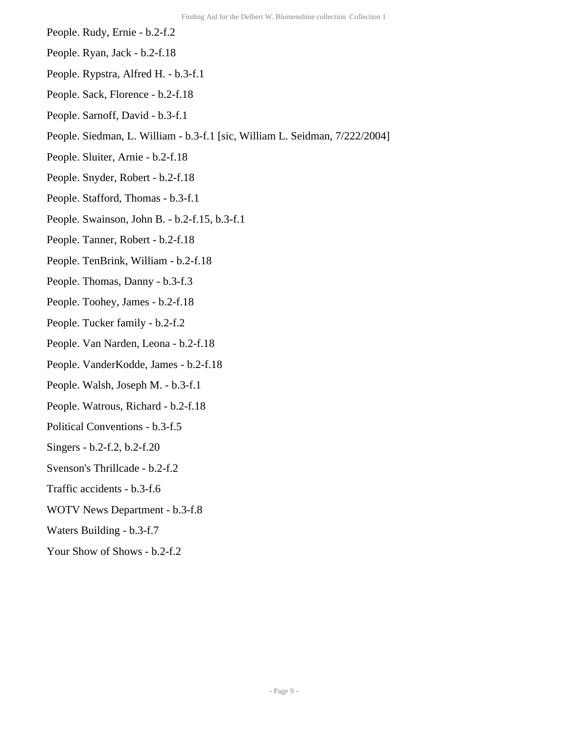- People. Rudy, Ernie b.2-f.2
- People. Ryan, Jack b.2-f.18
- People. Rypstra, Alfred H. b.3-f.1
- People. Sack, Florence b.2-f.18
- People. Sarnoff, David b.3-f.1
- People. Siedman, L. William b.3-f.1 [sic, William L. Seidman, 7/222/2004]
- People. Sluiter, Arnie b.2-f.18
- People. Snyder, Robert b.2-f.18
- People. Stafford, Thomas b.3-f.1
- People. Swainson, John B. b.2-f.15, b.3-f.1
- People. Tanner, Robert b.2-f.18
- People. TenBrink, William b.2-f.18
- People. Thomas, Danny b.3-f.3
- People. Toohey, James b.2-f.18
- People. Tucker family b.2-f.2
- People. Van Narden, Leona b.2-f.18
- People. VanderKodde, James b.2-f.18
- People. Walsh, Joseph M. b.3-f.1
- People. Watrous, Richard b.2-f.18
- Political Conventions b.3-f.5
- Singers b.2-f.2, b.2-f.20
- Svenson's Thrillcade b.2-f.2
- Traffic accidents b.3-f.6
- WOTV News Department b.3-f.8
- Waters Building b.3-f.7
- Your Show of Shows b.2-f.2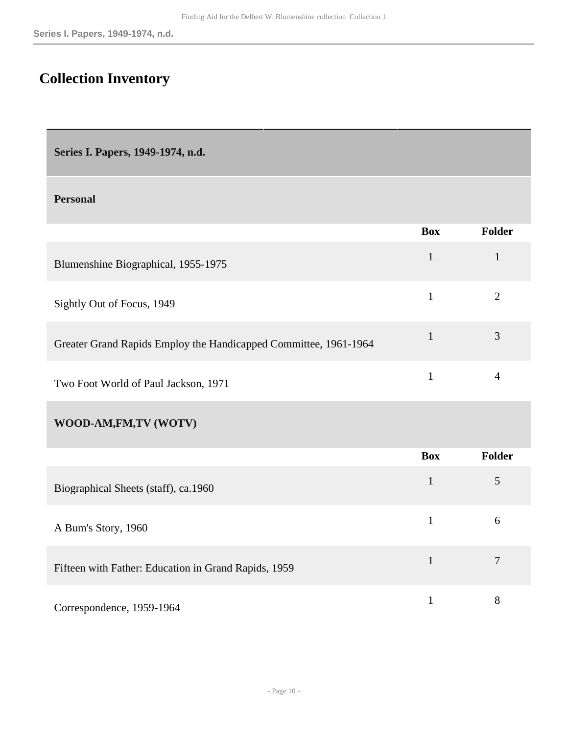# <span id="page-9-0"></span>**Collection Inventory**

<span id="page-9-1"></span>**Series I. Papers, 1949-1974, n.d.** 

#### **Personal**

|                                                                  | <b>Box</b>   | <b>Folder</b>  |
|------------------------------------------------------------------|--------------|----------------|
| Blumenshine Biographical, 1955-1975                              | $\mathbf{1}$ | $\mathbf{1}$   |
| Sightly Out of Focus, 1949                                       | $\mathbf{1}$ | $\overline{2}$ |
| Greater Grand Rapids Employ the Handicapped Committee, 1961-1964 | $\mathbf{1}$ | 3              |
| Two Foot World of Paul Jackson, 1971                             | $\mathbf{1}$ | $\overline{4}$ |
| WOOD-AM,FM,TV (WOTV)                                             |              |                |
|                                                                  | <b>Box</b>   | <b>Folder</b>  |
| Biographical Sheets (staff), ca.1960                             | $\mathbf{1}$ | 5              |
| A Bum's Story, 1960                                              | $\mathbf{1}$ | 6              |
| Fifteen with Father: Education in Grand Rapids, 1959             | $\mathbf{1}$ | $\overline{7}$ |
| Correspondence, 1959-1964                                        | $\mathbf{1}$ | 8              |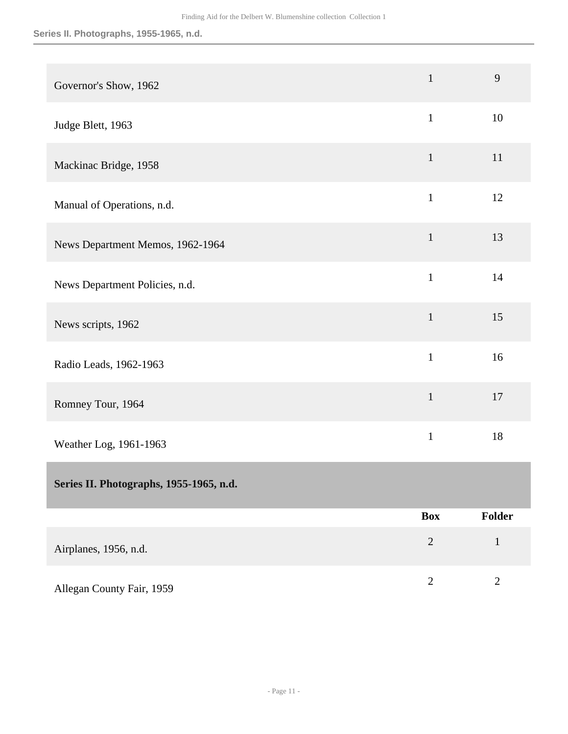<span id="page-10-0"></span>

| Governor's Show, 1962                   | $\mathbf{1}$   | 9            |
|-----------------------------------------|----------------|--------------|
| Judge Blett, 1963                       | $\mathbf{1}$   | 10           |
| Mackinac Bridge, 1958                   | $\mathbf{1}$   | 11           |
| Manual of Operations, n.d.              | $\mathbf{1}$   | 12           |
| News Department Memos, 1962-1964        | $\mathbf{1}$   | 13           |
| News Department Policies, n.d.          | $\mathbf{1}$   | 14           |
| News scripts, 1962                      | $\mathbf{1}$   | 15           |
| Radio Leads, 1962-1963                  | $\mathbf{1}$   | 16           |
| Romney Tour, 1964                       | $\mathbf{1}$   | 17           |
| Weather Log, 1961-1963                  | $\mathbf{1}$   | 18           |
| Series II. Photographs, 1955-1965, n.d. |                |              |
|                                         | <b>Box</b>     | Folder       |
| Airplanes, 1956, n.d.                   | $\overline{2}$ | $\mathbf{1}$ |
| Allegan County Fair, 1959               | $\sqrt{2}$     | $\sqrt{2}$   |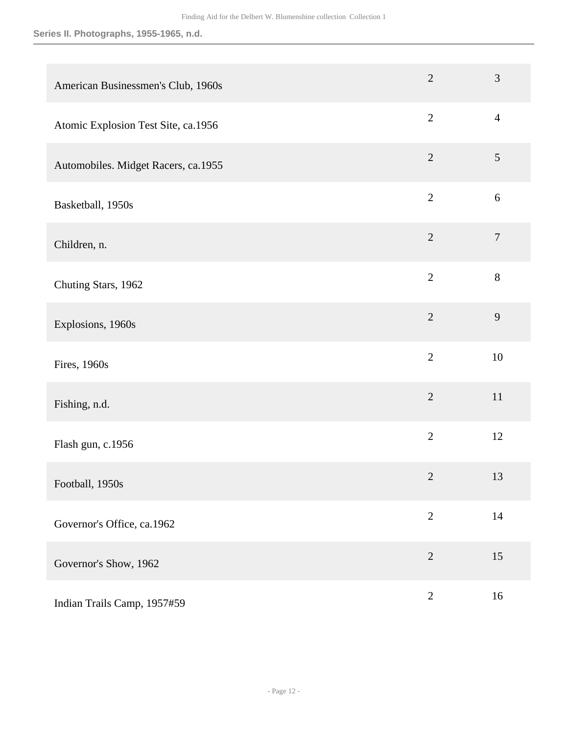#### **Series II. Photographs, 1955-1965, n.d.**

| American Businessmen's Club, 1960s  | $\overline{2}$ | $\mathfrak{Z}$ |
|-------------------------------------|----------------|----------------|
| Atomic Explosion Test Site, ca.1956 | $\overline{2}$ | $\overline{4}$ |
| Automobiles. Midget Racers, ca.1955 | $\sqrt{2}$     | 5              |
| Basketball, 1950s                   | $\overline{2}$ | $\sqrt{6}$     |
| Children, n.                        | $\overline{2}$ | $\overline{7}$ |
| Chuting Stars, 1962                 | $\overline{2}$ | $8\,$          |
| Explosions, 1960s                   | $\overline{2}$ | 9              |
| Fires, 1960s                        | $\overline{2}$ | 10             |
| Fishing, n.d.                       | $\overline{2}$ | $11\,$         |
| Flash gun, c.1956                   | $\overline{2}$ | 12             |
| Football, 1950s                     | $\mathbf{2}$   | 13             |
| Governor's Office, ca.1962          | $\sqrt{2}$     | 14             |
| Governor's Show, 1962               | $\sqrt{2}$     | 15             |
| Indian Trails Camp, 1957#59         | $\mathbf{2}$   | 16             |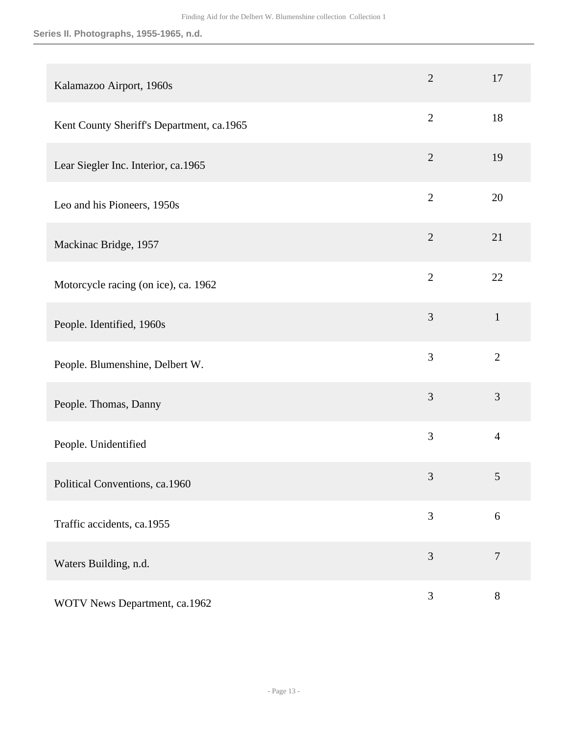#### **Series II. Photographs, 1955-1965, n.d.**

| Kalamazoo Airport, 1960s                  | $\overline{2}$ | 17             |
|-------------------------------------------|----------------|----------------|
| Kent County Sheriff's Department, ca.1965 | $\overline{2}$ | 18             |
| Lear Siegler Inc. Interior, ca.1965       | $\overline{2}$ | 19             |
| Leo and his Pioneers, 1950s               | $\overline{2}$ | 20             |
| Mackinac Bridge, 1957                     | $\overline{2}$ | 21             |
| Motorcycle racing (on ice), ca. 1962      | $\overline{2}$ | 22             |
| People. Identified, 1960s                 | 3              | $\mathbf{1}$   |
| People. Blumenshine, Delbert W.           | 3              | $\overline{2}$ |
| People. Thomas, Danny                     | 3              | 3              |
| People. Unidentified                      | 3              | $\overline{4}$ |
| Political Conventions, ca.1960            | 3              | 5              |
| Traffic accidents, ca.1955                | 3              | 6              |
| Waters Building, n.d.                     | 3              | $\tau$         |
| WOTV News Department, ca.1962             | 3              | 8              |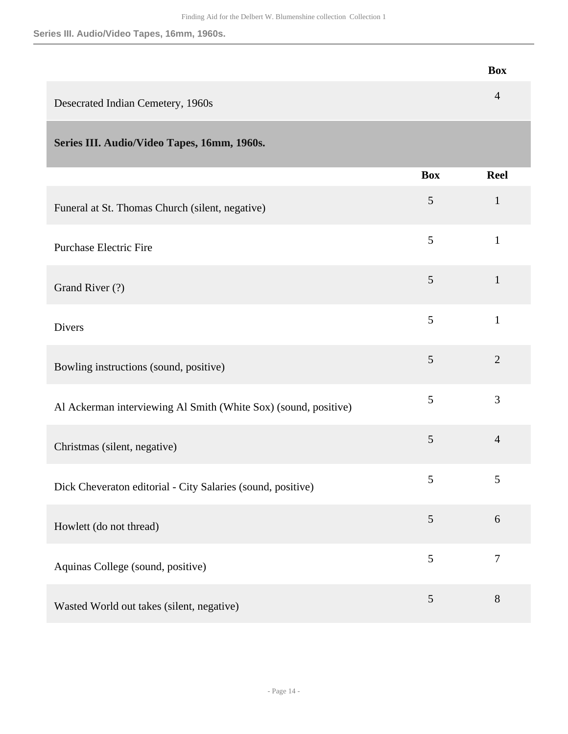**Series III. Audio/Video Tapes, 16mm, 1960s.**

<span id="page-13-0"></span>

|                                                                 |                | <b>Box</b>     |
|-----------------------------------------------------------------|----------------|----------------|
| Desecrated Indian Cemetery, 1960s                               |                | $\overline{4}$ |
| Series III. Audio/Video Tapes, 16mm, 1960s.                     |                |                |
|                                                                 | <b>Box</b>     | <b>Reel</b>    |
| Funeral at St. Thomas Church (silent, negative)                 | 5              | $\mathbf{1}$   |
| <b>Purchase Electric Fire</b>                                   | 5              | $\mathbf{1}$   |
| Grand River (?)                                                 | 5              | $\mathbf{1}$   |
| <b>Divers</b>                                                   | 5              | $\mathbf{1}$   |
| Bowling instructions (sound, positive)                          | 5              | $\overline{2}$ |
| Al Ackerman interviewing Al Smith (White Sox) (sound, positive) | 5              | 3              |
| Christmas (silent, negative)                                    | 5              | $\overline{4}$ |
| Dick Cheveraton editorial - City Salaries (sound, positive)     | 5              | 5              |
| Howlett (do not thread)                                         | $\mathfrak{S}$ | 6              |
| Aquinas College (sound, positive)                               | 5              | $\tau$         |
| Wasted World out takes (silent, negative)                       | $\mathfrak{S}$ | $8\,$          |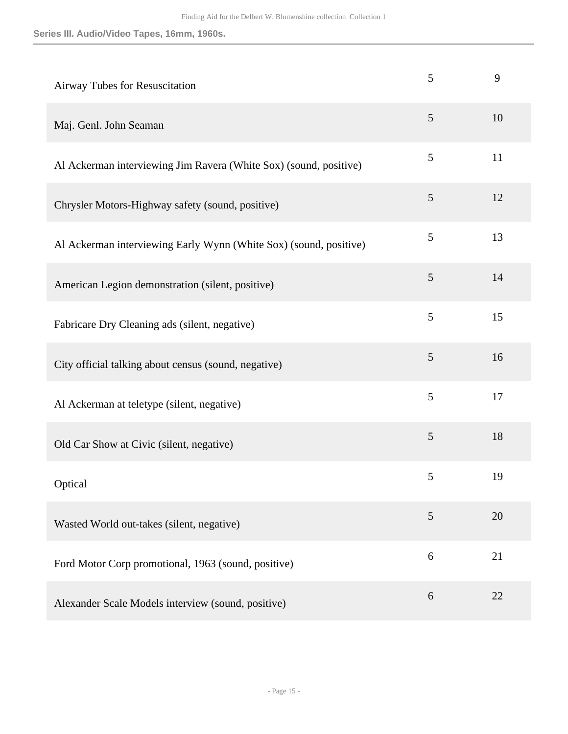**Series III. Audio/Video Tapes, 16mm, 1960s.**

| Airway Tubes for Resuscitation                                    | 5     | 9  |
|-------------------------------------------------------------------|-------|----|
| Maj. Genl. John Seaman                                            | 5     | 10 |
| Al Ackerman interviewing Jim Ravera (White Sox) (sound, positive) | 5     | 11 |
| Chrysler Motors-Highway safety (sound, positive)                  | 5     | 12 |
| Al Ackerman interviewing Early Wynn (White Sox) (sound, positive) | 5     | 13 |
| American Legion demonstration (silent, positive)                  | 5     | 14 |
| Fabricare Dry Cleaning ads (silent, negative)                     | 5     | 15 |
| City official talking about census (sound, negative)              | 5     | 16 |
| Al Ackerman at teletype (silent, negative)                        | 5     | 17 |
| Old Car Show at Civic (silent, negative)                          | 5     | 18 |
| Optical                                                           | 5     | 19 |
| Wasted World out-takes (silent, negative)                         | 5     | 20 |
| Ford Motor Corp promotional, 1963 (sound, positive)               | 6     | 21 |
| Alexander Scale Models interview (sound, positive)                | $6\,$ | 22 |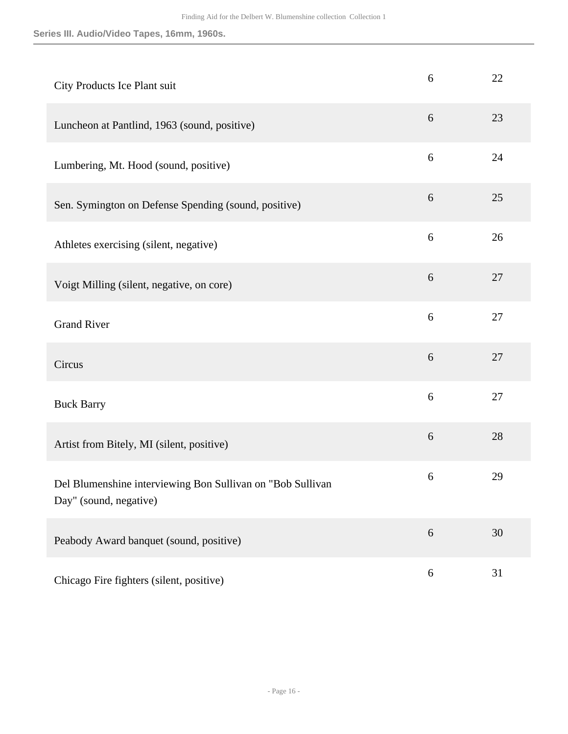**Series III. Audio/Video Tapes, 16mm, 1960s.**

| City Products Ice Plant suit                                                         | 6                | 22 |
|--------------------------------------------------------------------------------------|------------------|----|
| Luncheon at Pantlind, 1963 (sound, positive)                                         | 6                | 23 |
| Lumbering, Mt. Hood (sound, positive)                                                | 6                | 24 |
| Sen. Symington on Defense Spending (sound, positive)                                 | 6                | 25 |
| Athletes exercising (silent, negative)                                               | 6                | 26 |
| Voigt Milling (silent, negative, on core)                                            | $6\,$            | 27 |
| <b>Grand River</b>                                                                   | 6                | 27 |
| Circus                                                                               | 6                | 27 |
| <b>Buck Barry</b>                                                                    | 6                | 27 |
| Artist from Bitely, MI (silent, positive)                                            | $6\,$            | 28 |
| Del Blumenshine interviewing Bon Sullivan on "Bob Sullivan<br>Day" (sound, negative) | 6                | 29 |
| Peabody Award banquet (sound, positive)                                              | $6\,$            | 30 |
| Chicago Fire fighters (silent, positive)                                             | $\boldsymbol{6}$ | 31 |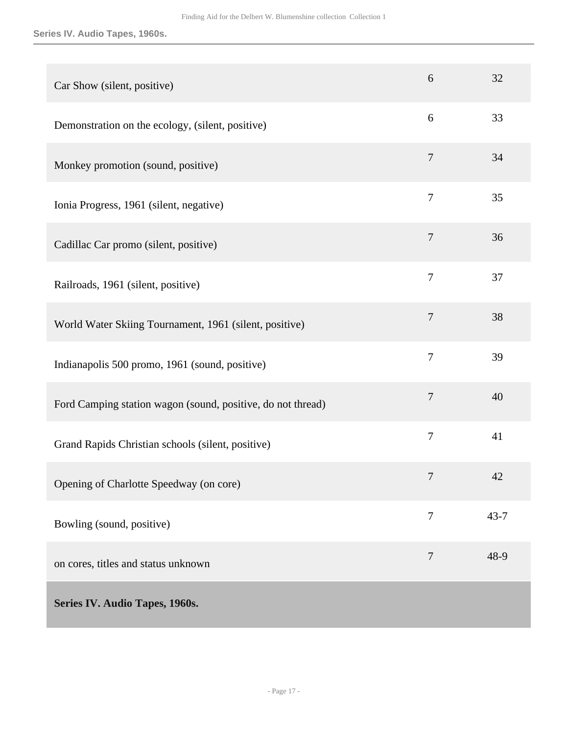**Series IV. Audio Tapes, 1960s.**

<span id="page-16-0"></span>

| Car Show (silent, positive)                                 | 6                | 32       |
|-------------------------------------------------------------|------------------|----------|
| Demonstration on the ecology, (silent, positive)            | 6                | 33       |
| Monkey promotion (sound, positive)                          | 7                | 34       |
| Ionia Progress, 1961 (silent, negative)                     | 7                | 35       |
| Cadillac Car promo (silent, positive)                       | 7                | 36       |
| Railroads, 1961 (silent, positive)                          | $\overline{7}$   | 37       |
| World Water Skiing Tournament, 1961 (silent, positive)      | 7                | 38       |
| Indianapolis 500 promo, 1961 (sound, positive)              | 7                | 39       |
| Ford Camping station wagon (sound, positive, do not thread) | $\tau$           | 40       |
| Grand Rapids Christian schools (silent, positive)           | $\boldsymbol{7}$ | 41       |
| Opening of Charlotte Speedway (on core)                     | 7                | 42       |
| Bowling (sound, positive)                                   | $\overline{7}$   | $43 - 7$ |
| on cores, titles and status unknown                         | 7                | 48-9     |
| Series IV. Audio Tapes, 1960s.                              |                  |          |